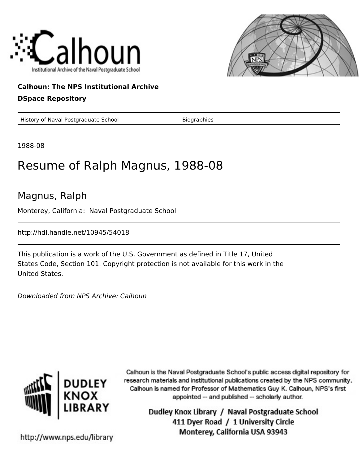



## **Calhoun: The NPS Institutional Archive**

### **DSpace Repository**

History of Naval Postgraduate School Biographies

1988-08

# Resume of Ralph Magnus, 1988-08

## Magnus, Ralph

Monterey, California: Naval Postgraduate School

http://hdl.handle.net/10945/54018

This publication is a work of the U.S. Government as defined in Title 17, United States Code, Section 101. Copyright protection is not available for this work in the United States.

Downloaded from NPS Archive: Calhoun



Calhoun is the Naval Postgraduate School's public access digital repository for research materials and institutional publications created by the NPS community. Calhoun is named for Professor of Mathematics Guy K. Calhoun, NPS's first appointed -- and published -- scholarly author.

> Dudley Knox Library / Naval Postgraduate School 411 Dyer Road / 1 University Circle Monterey, California USA 93943

http://www.nps.edu/library